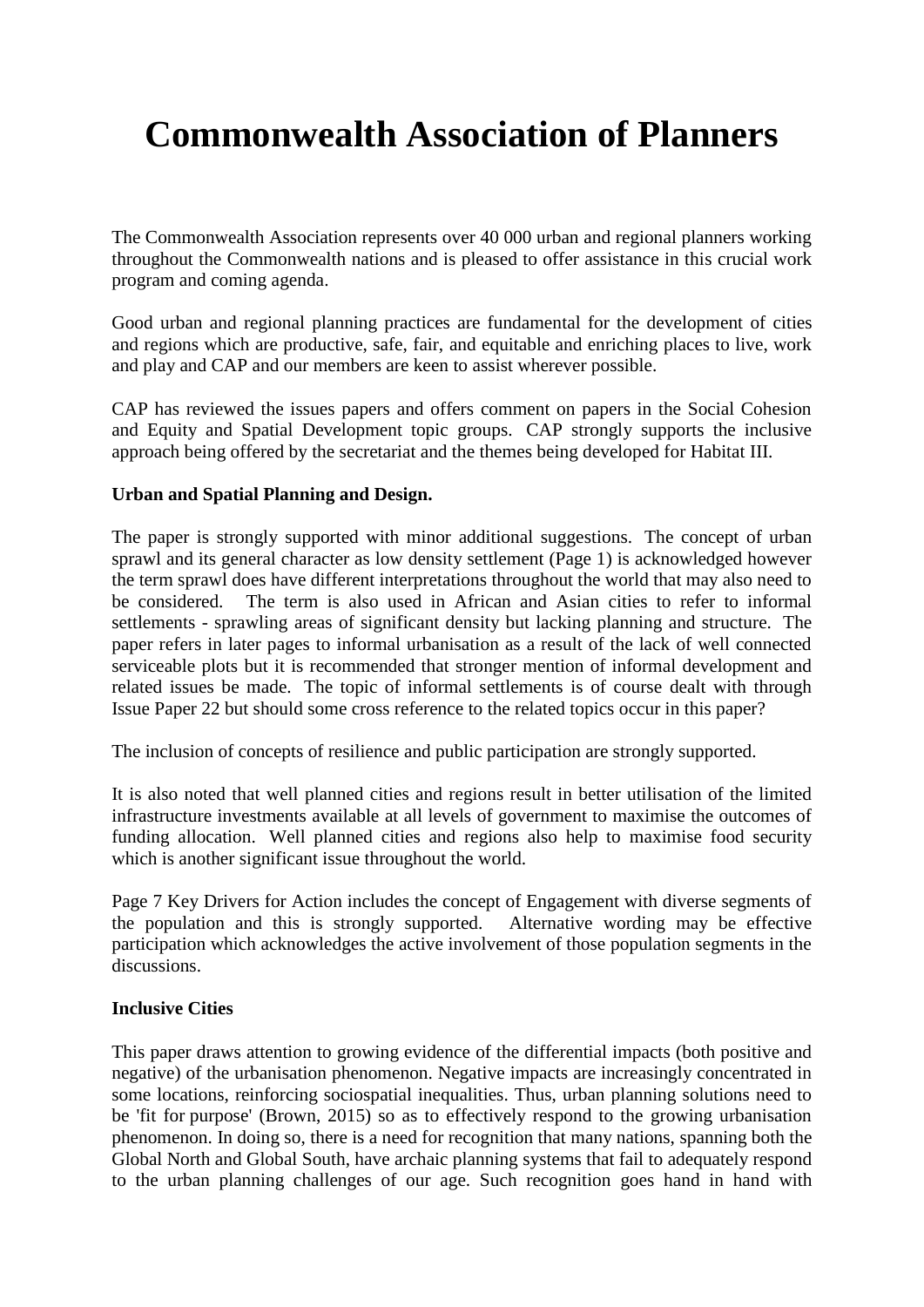# **Commonwealth Association of Planners**

The Commonwealth Association represents over 40 000 urban and regional planners working throughout the Commonwealth nations and is pleased to offer assistance in this crucial work program and coming agenda.

Good urban and regional planning practices are fundamental for the development of cities and regions which are productive, safe, fair, and equitable and enriching places to live, work and play and CAP and our members are keen to assist wherever possible.

CAP has reviewed the issues papers and offers comment on papers in the Social Cohesion and Equity and Spatial Development topic groups. CAP strongly supports the inclusive approach being offered by the secretariat and the themes being developed for Habitat III.

#### **Urban and Spatial Planning and Design.**

The paper is strongly supported with minor additional suggestions. The concept of urban sprawl and its general character as low density settlement (Page 1) is acknowledged however the term sprawl does have different interpretations throughout the world that may also need to be considered. The term is also used in African and Asian cities to refer to informal settlements - sprawling areas of significant density but lacking planning and structure. The paper refers in later pages to informal urbanisation as a result of the lack of well connected serviceable plots but it is recommended that stronger mention of informal development and related issues be made. The topic of informal settlements is of course dealt with through Issue Paper 22 but should some cross reference to the related topics occur in this paper?

The inclusion of concepts of resilience and public participation are strongly supported.

It is also noted that well planned cities and regions result in better utilisation of the limited infrastructure investments available at all levels of government to maximise the outcomes of funding allocation. Well planned cities and regions also help to maximise food security which is another significant issue throughout the world.

Page 7 Key Drivers for Action includes the concept of Engagement with diverse segments of the population and this is strongly supported. Alternative wording may be effective participation which acknowledges the active involvement of those population segments in the discussions.

## **Inclusive Cities**

This paper draws attention to growing evidence of the differential impacts (both positive and negative) of the urbanisation phenomenon. Negative impacts are increasingly concentrated in some locations, reinforcing sociospatial inequalities. Thus, urban planning solutions need to be 'fit for purpose' (Brown, 2015) so as to effectively respond to the growing urbanisation phenomenon. In doing so, there is a need for recognition that many nations, spanning both the Global North and Global South, have archaic planning systems that fail to adequately respond to the urban planning challenges of our age. Such recognition goes hand in hand with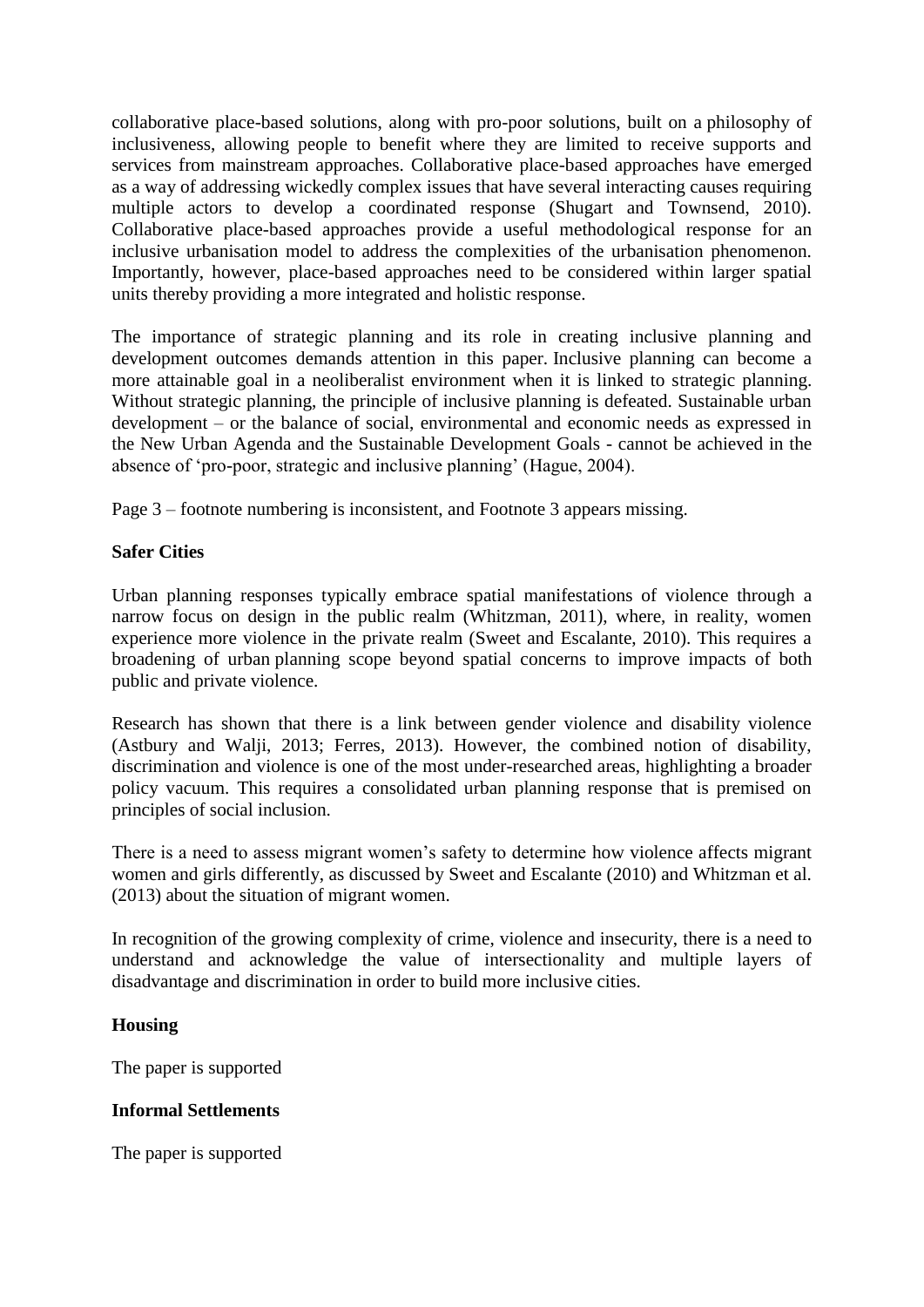collaborative place-based solutions, along with pro-poor solutions, built on a philosophy of inclusiveness, allowing people to benefit where they are limited to receive supports and services from mainstream approaches. Collaborative place-based approaches have emerged as a way of addressing wickedly complex issues that have several interacting causes requiring multiple actors to develop a coordinated response (Shugart and Townsend, 2010). Collaborative place-based approaches provide a useful methodological response for an inclusive urbanisation model to address the complexities of the urbanisation phenomenon. Importantly, however, place-based approaches need to be considered within larger spatial units thereby providing a more integrated and holistic response.

The importance of strategic planning and its role in creating inclusive planning and development outcomes demands attention in this paper. Inclusive planning can become a more attainable goal in a neoliberalist environment when it is linked to strategic planning. Without strategic planning, the principle of inclusive planning is defeated. Sustainable urban development – or the balance of social, environmental and economic needs as expressed in the New Urban Agenda and the Sustainable Development Goals - cannot be achieved in the absence of 'pro-poor, strategic and inclusive planning' (Hague, 2004).

Page 3 – footnote numbering is inconsistent, and Footnote 3 appears missing.

#### **Safer Cities**

Urban planning responses typically embrace spatial manifestations of violence through a narrow focus on design in the public realm (Whitzman, 2011), where, in reality, women experience more violence in the private realm (Sweet and Escalante, 2010). This requires a broadening of urban planning scope beyond spatial concerns to improve impacts of both public and private violence.

Research has shown that there is a link between gender violence and disability violence (Astbury and Walji, 2013; Ferres, 2013). However, the combined notion of disability, discrimination and violence is one of the most under-researched areas, highlighting a broader policy vacuum. This requires a consolidated urban planning response that is premised on principles of social inclusion.

There is a need to assess migrant women's safety to determine how violence affects migrant women and girls differently, as discussed by Sweet and Escalante (2010) and Whitzman et al. (2013) about the situation of migrant women.

In recognition of the growing complexity of crime, violence and insecurity, there is a need to understand and acknowledge the value of intersectionality and multiple layers of disadvantage and discrimination in order to build more inclusive cities.

## **Housing**

The paper is supported

## **Informal Settlements**

The paper is supported